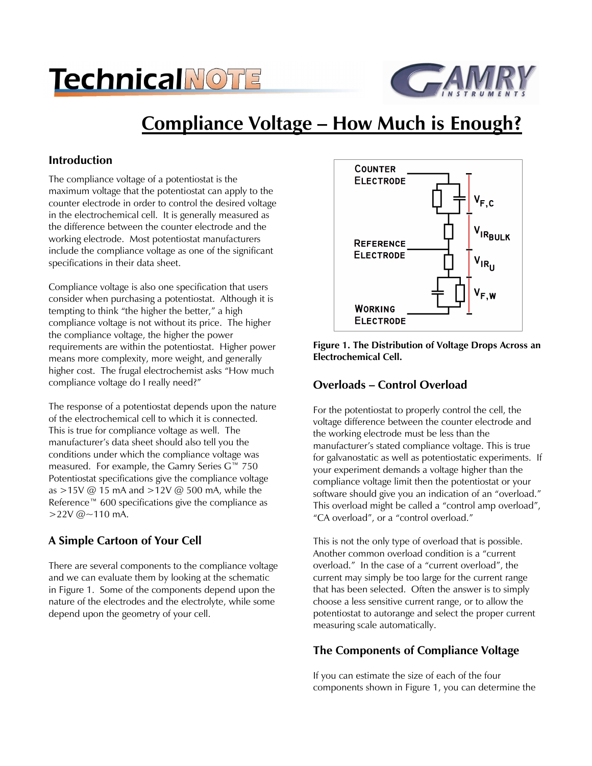# **TechnicalNOTE**



# **Compliance Voltage – How Much is Enough?**

## **Introduction**

The compliance voltage of a potentiostat is the maximum voltage that the potentiostat can apply to the counter electrode in order to control the desired voltage in the electrochemical cell. It is generally measured as the difference between the counter electrode and the working electrode. Most potentiostat manufacturers include the compliance voltage as one of the significant specifications in their data sheet.

Compliance voltage is also one specification that users consider when purchasing a potentiostat. Although it is tempting to think "the higher the better," a high compliance voltage is not without its price. The higher the compliance voltage, the higher the power requirements are within the potentiostat. Higher power means more complexity, more weight, and generally higher cost. The frugal electrochemist asks "How much compliance voltage do I really need?"

The response of a potentiostat depends upon the nature of the electrochemical cell to which it is connected. This is true for compliance voltage as well. The manufacturer's data sheet should also tell you the conditions under which the compliance voltage was measured. For example, the Gamry Series G™ 750 Potentiostat specifications give the compliance voltage as >15V @ 15 mA and >12V @ 500 mA, while the Reference™ 600 specifications give the compliance as  $>22V$  @  $\sim$  110 mA.

# **A Simple Cartoon of Your Cell**

There are several components to the compliance voltage and we can evaluate them by looking at the schematic in Figure 1. Some of the components depend upon the nature of the electrodes and the electrolyte, while some depend upon the geometry of your cell.



**Figure 1. The Distribution of Voltage Drops Across an Electrochemical Cell.** 

## **Overloads – Control Overload**

For the potentiostat to properly control the cell, the voltage difference between the counter electrode and the working electrode must be less than the manufacturer's stated compliance voltage. This is true for galvanostatic as well as potentiostatic experiments. If your experiment demands a voltage higher than the compliance voltage limit then the potentiostat or your software should give you an indication of an "overload." This overload might be called a "control amp overload", "CA overload", or a "control overload."

This is not the only type of overload that is possible. Another common overload condition is a "current overload." In the case of a "current overload", the current may simply be too large for the current range that has been selected. Often the answer is to simply choose a less sensitive current range, or to allow the potentiostat to autorange and select the proper current measuring scale automatically.

# **The Components of Compliance Voltage**

If you can estimate the size of each of the four components shown in Figure 1, you can determine the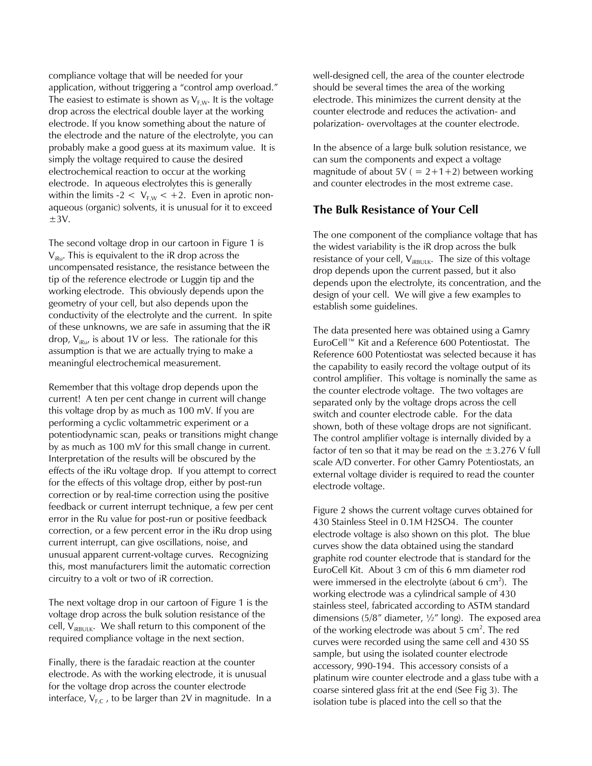compliance voltage that will be needed for your application, without triggering a "control amp overload." The easiest to estimate is shown as  $V_{F,W}$ . It is the voltage drop across the electrical double layer at the working electrode. If you know something about the nature of the electrode and the nature of the electrolyte, you can probably make a good guess at its maximum value. It is simply the voltage required to cause the desired electrochemical reaction to occur at the working electrode. In aqueous electrolytes this is generally within the limits  $-2 < V_{\text{EW}} < +2$ . Even in aprotic nonaqueous (organic) solvents, it is unusual for it to exceed  $\pm$ 3V.

The second voltage drop in our cartoon in Figure 1 is  $V_{IRu}$ . This is equivalent to the iR drop across the uncompensated resistance, the resistance between the tip of the reference electrode or Luggin tip and the working electrode. This obviously depends upon the geometry of your cell, but also depends upon the conductivity of the electrolyte and the current. In spite of these unknowns, we are safe in assuming that the iR drop,  $V_{iku}$ , is about 1V or less. The rationale for this assumption is that we are actually trying to make a meaningful electrochemical measurement.

Remember that this voltage drop depends upon the current! A ten per cent change in current will change this voltage drop by as much as 100 mV. If you are performing a cyclic voltammetric experiment or a potentiodynamic scan, peaks or transitions might change by as much as 100 mV for this small change in current. Interpretation of the results will be obscured by the effects of the iRu voltage drop. If you attempt to correct for the effects of this voltage drop, either by post-run correction or by real-time correction using the positive feedback or current interrupt technique, a few per cent error in the Ru value for post-run or positive feedback correction, or a few percent error in the iRu drop using current interrupt, can give oscillations, noise, and unusual apparent current-voltage curves. Recognizing this, most manufacturers limit the automatic correction circuitry to a volt or two of iR correction.

The next voltage drop in our cartoon of Figure 1 is the voltage drop across the bulk solution resistance of the cell,  $V_{iRBULK}$ . We shall return to this component of the required compliance voltage in the next section.

Finally, there is the faradaic reaction at the counter electrode. As with the working electrode, it is unusual for the voltage drop across the counter electrode interface,  $V_{F,C}$ , to be larger than 2V in magnitude. In a well-designed cell, the area of the counter electrode should be several times the area of the working electrode. This minimizes the current density at the counter electrode and reduces the activation- and polarization- overvoltages at the counter electrode.

In the absence of a large bulk solution resistance, we can sum the components and expect a voltage magnitude of about  $5V = 2+1+2$ ) between working and counter electrodes in the most extreme case.

#### **The Bulk Resistance of Your Cell**

The one component of the compliance voltage that has the widest variability is the iR drop across the bulk resistance of your cell,  $V_{IRBULK}$ . The size of this voltage drop depends upon the current passed, but it also depends upon the electrolyte, its concentration, and the design of your cell. We will give a few examples to establish some guidelines.

The data presented here was obtained using a Gamry EuroCell™ Kit and a Reference 600 Potentiostat. The Reference 600 Potentiostat was selected because it has the capability to easily record the voltage output of its control amplifier. This voltage is nominally the same as the counter electrode voltage. The two voltages are separated only by the voltage drops across the cell switch and counter electrode cable. For the data shown, both of these voltage drops are not significant. The control amplifier voltage is internally divided by a factor of ten so that it may be read on the  $\pm$ 3.276 V full scale A/D converter. For other Gamry Potentiostats, an external voltage divider is required to read the counter electrode voltage.

Figure 2 shows the current voltage curves obtained for 430 Stainless Steel in 0.1M H2SO4. The counter electrode voltage is also shown on this plot. The blue curves show the data obtained using the standard graphite rod counter electrode that is standard for the EuroCell Kit. About 3 cm of this 6 mm diameter rod were immersed in the electrolyte (about 6  $\text{cm}^2$ ). The working electrode was a cylindrical sample of 430 stainless steel, fabricated according to ASTM standard dimensions (5/8" diameter,  $\frac{1}{2}$ " long). The exposed area of the working electrode was about  $5 \text{ cm}^2$ . The red curves were recorded using the same cell and 430 SS sample, but using the isolated counter electrode accessory, 990-194. This accessory consists of a platinum wire counter electrode and a glass tube with a coarse sintered glass frit at the end (See Fig 3). The isolation tube is placed into the cell so that the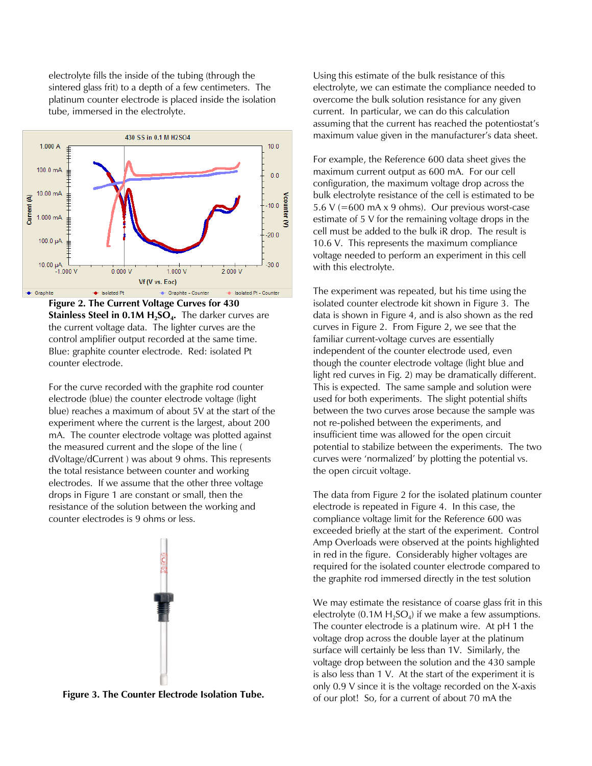electrolyte fills the inside of the tubing (through the sintered glass frit) to a depth of a few centimeters. The platinum counter electrode is placed inside the isolation tube, immersed in the electrolyte.



**Figure 2. The Current Voltage Curves for 430 Stainless Steel in 0.1M H2SO<sup>4</sup> .** The darker curves are the current voltage data. The lighter curves are the control amplifier output recorded at the same time. Blue: graphite counter electrode. Red: isolated Pt counter electrode.

For the curve recorded with the graphite rod counter electrode (blue) the counter electrode voltage (light blue) reaches a maximum of about 5V at the start of the experiment where the current is the largest, about 200 mA. The counter electrode voltage was plotted against the measured current and the slope of the line ( dVoltage/dCurrent ) was about 9 ohms. This represents the total resistance between counter and working electrodes. If we assume that the other three voltage drops in Figure 1 are constant or small, then the resistance of the solution between the working and counter electrodes is 9 ohms or less.



**Figure 3. The Counter Electrode Isolation Tube.** 

Using this estimate of the bulk resistance of this electrolyte, we can estimate the compliance needed to overcome the bulk solution resistance for any given current. In particular, we can do this calculation assuming that the current has reached the potentiostat's maximum value given in the manufacturer's data sheet.

For example, the Reference 600 data sheet gives the maximum current output as 600 mA. For our cell configuration, the maximum voltage drop across the bulk electrolyte resistance of the cell is estimated to be 5.6 V (=600 mA  $\times$  9 ohms). Our previous worst-case estimate of 5 V for the remaining voltage drops in the cell must be added to the bulk iR drop. The result is 10.6 V. This represents the maximum compliance voltage needed to perform an experiment in this cell with this electrolyte.

The experiment was repeated, but his time using the isolated counter electrode kit shown in Figure 3. The data is shown in Figure 4, and is also shown as the red curves in Figure 2. From Figure 2, we see that the familiar current-voltage curves are essentially independent of the counter electrode used, even though the counter electrode voltage (light blue and light red curves in Fig. 2) may be dramatically different. This is expected. The same sample and solution were used for both experiments. The slight potential shifts between the two curves arose because the sample was not re-polished between the experiments, and insufficient time was allowed for the open circuit potential to stabilize between the experiments. The two curves were 'normalized' by plotting the potential vs. the open circuit voltage.

The data from Figure 2 for the isolated platinum counter electrode is repeated in Figure 4. In this case, the compliance voltage limit for the Reference 600 was exceeded briefly at the start of the experiment. Control Amp Overloads were observed at the points highlighted in red in the figure. Considerably higher voltages are required for the isolated counter electrode compared to the graphite rod immersed directly in the test solution

We may estimate the resistance of coarse glass frit in this electrolyte (0.1M  $H_2SO_4$ ) if we make a few assumptions. The counter electrode is a platinum wire. At pH 1 the voltage drop across the double layer at the platinum surface will certainly be less than 1V. Similarly, the voltage drop between the solution and the 430 sample is also less than 1 V. At the start of the experiment it is only 0.9 V since it is the voltage recorded on the X-axis of our plot! So, for a current of about 70 mA the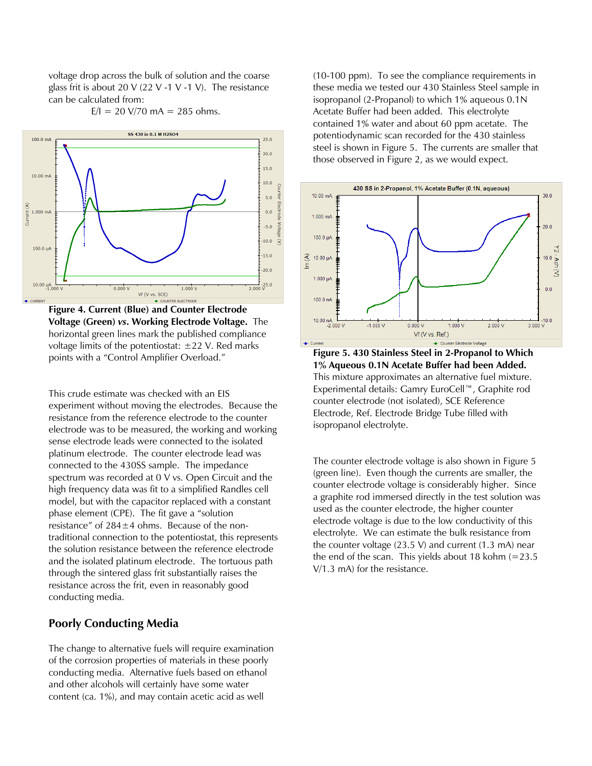voltage drop across the bulk of solution and the coarse glass frit is about 20 V (22 V -1 V -1 V). The resistance can be calculated from:

 $E/I = 20 \text{ V}/70 \text{ mA} = 285 \text{ ohms}.$ 



**Figure 4. Current (Blue) and Counter Electrode Voltage (Green)** *vs***. Working Electrode Voltage.** The horizontal green lines mark the published compliance voltage limits of the potentiostat:  $\pm 22$  V. Red marks points with a "Control Amplifier Overload."

This crude estimate was checked with an EIS experiment without moving the electrodes. Because the resistance from the reference electrode to the counter electrode was to be measured, the working and working sense electrode leads were connected to the isolated platinum electrode. The counter electrode lead was connected to the 430SS sample. The impedance spectrum was recorded at 0 V vs. Open Circuit and the high frequency data was fit to a simplified Randles cell model, but with the capacitor replaced with a constant phase element (CPE). The fit gave a "solution resistance" of  $284 \pm 4$  ohms. Because of the nontraditional connection to the potentiostat, this represents the solution resistance between the reference electrode and the isolated platinum electrode. The tortuous path through the sintered glass frit substantially raises the resistance across the frit, even in reasonably good conducting media.

#### **Poorly Conducting Media**

The change to alternative fuels will require examination of the corrosion properties of materials in these poorly conducting media. Alternative fuels based on ethanol and other alcohols will certainly have some water content (ca. 1%), and may contain acetic acid as well

(10-100 ppm). To see the compliance requirements in these media we tested our 430 Stainless Steel sample in isopropanol (2-Propanol) to which 1% aqueous 0.1N Acetate Buffer had been added. This electrolyte contained 1% water and about 60 ppm acetate. The potentiodynamic scan recorded for the 430 stainless steel is shown in Figure 5. The currents are smaller that those observed in Figure 2, as we would expect.



**Figure 5. 430 Stainless Steel in 2-Propanol to Which 1% Aqueous 0.1N Acetate Buffer had been Added.**  This mixture approximates an alternative fuel mixture. Experimental details: Gamry EuroCell™, Graphite rod counter electrode (not isolated), SCE Reference Electrode, Ref. Electrode Bridge Tube filled with isopropanol electrolyte.

The counter electrode voltage is also shown in Figure 5 (green line). Even though the currents are smaller, the counter electrode voltage is considerably higher. Since a graphite rod immersed directly in the test solution was used as the counter electrode, the higher counter electrode voltage is due to the low conductivity of this electrolyte. We can estimate the bulk resistance from the counter voltage (23.5 V) and current (1.3 mA) near the end of the scan. This yields about 18 kohm  $(=23.5)$ V/1.3 mA) for the resistance.